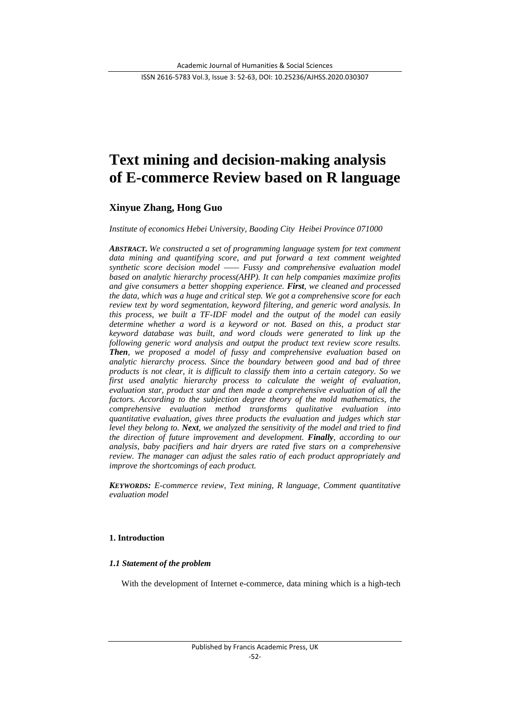# **Text mining and decision-making analysis of E-commerce Review based on R language**

## **Xinyue Zhang, Hong Guo**

*Institute of economics Hebei University, Baoding City Heibei Province 071000*

*ABSTRACT. We constructed a set of programming language system for text comment data mining and quantifying score, and put forward a text comment weighted synthetic score decision model —— Fussy and comprehensive evaluation model based on analytic hierarchy process(AHP). It can help companies maximize profits and give consumers a better shopping experience. First, we cleaned and processed the data, which was a huge and critical step. We got a comprehensive score for each review text by word segmentation, keyword filtering, and generic word analysis. In this process, we built a TF-IDF model and the output of the model can easily determine whether a word is a keyword or not. Based on this, a product star keyword database was built, and word clouds were generated to link up the following generic word analysis and output the product text review score results. Then, we proposed a model of fussy and comprehensive evaluation based on analytic hierarchy process. Since the boundary between good and bad of three products is not clear, it is difficult to classify them into a certain category. So we first used analytic hierarchy process to calculate the weight of evaluation, evaluation star, product star and then made a comprehensive evaluation of all the factors. According to the subjection degree theory of the mold mathematics, the comprehensive evaluation method transforms qualitative evaluation into quantitative evaluation, gives three products the evaluation and judges which star level they belong to. Next, we analyzed the sensitivity of the model and tried to find the direction of future improvement and development. Finally, according to our analysis, baby pacifiers and hair dryers are rated five stars on a comprehensive review. The manager can adjust the sales ratio of each product appropriately and improve the shortcomings of each product.*

*KEYWORDS: E-commerce review, Text mining, R language, Comment quantitative evaluation model*

## **1. Introduction**

## *1.1 Statement of the problem*

With the development of Internet e-commerce, data mining which is a high-tech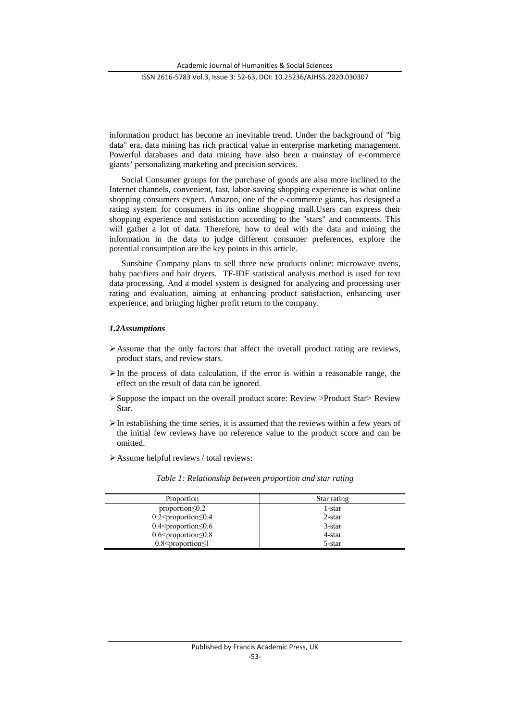Academic Journal of Humanities & Social Sciences

ISSN 2616-5783 Vol.3, Issue 3: 52-63, DOI: 10.25236/AJHSS.2020.030307

information product has become an inevitable trend. Under the background of "big data" era, data mining has rich practical value in enterprise marketing management. Powerful databases and data mining have also been a mainstay of e-commerce giants' personalizing marketing and precision services.

Social Consumer groups for the purchase of goods are also more inclined to the Internet channels, convenient, fast, labor-saving shopping experience is what online shopping consumers expect. Amazon, one of the e-commerce giants, has designed a rating system for consumers in its online shopping mall.Users can express their shopping experience and satisfaction according to the "stars" and comments. This will gather a lot of data. Therefore, how to deal with the data and mining the information in the data to judge different consumer preferences, explore the potential consumption are the key points in this article.

Sunshine Company plans to sell three new products online: microwave ovens, baby pacifiers and hair dryers. TF-IDF statistical analysis method is used for text data processing. And a model system is designed for analyzing and processing user rating and evaluation, aiming at enhancing product satisfaction, enhancing user experience, and bringing higher profit return to the company.

## *1.2Assumptions*

- $\triangleright$  Assume that the only factors that affect the overall product rating are reviews, product stars, and review stars.
- $\triangleright$  In the process of data calculation, if the error is within a reasonable range, the effect on the result of data can be ignored.
- Suppose the impact on the overall product score: Review >Product Star> Review Star.
- $\triangleright$  In establishing the time series, it is assumed that the reviews within a few years of the initial few reviews have no reference value to the product score and can be omitted.
- Assume helpful reviews / total reviews:

| Proportion                                        | Star rating |
|---------------------------------------------------|-------------|
| proportion $\leq 0.2$                             | 1-star      |
| $0.2$ <proportion<math>\leq 0.4</proportion<math> | $2$ -star   |
| $0.4$ <proportion<math>\leq 0.6</proportion<math> | $3$ -star   |
| $0.6$ <proportion<math>\leq 0.8</proportion<math> | 4-star      |
| $0.8$ <proportion <math="">\leq1</proportion>     | 5-star      |

*Table 1: Relationship between proportion and star rating*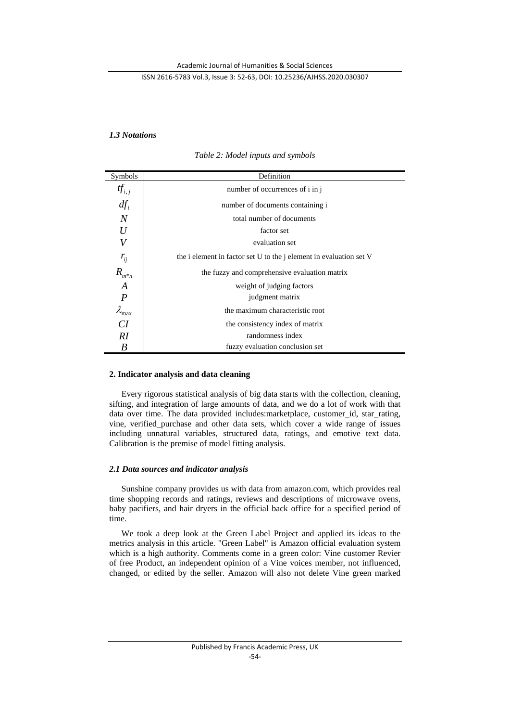## *1.3 Notations*

| Symbols                | Definition                                                                |  |  |  |  |
|------------------------|---------------------------------------------------------------------------|--|--|--|--|
| $tf_{i,j}$             | number of occurrences of i in j                                           |  |  |  |  |
| $df_i$                 | number of documents containing i                                          |  |  |  |  |
| $\overline{N}$         | total number of documents                                                 |  |  |  |  |
| U                      | factor set                                                                |  |  |  |  |
| V                      | evaluation set                                                            |  |  |  |  |
| $r_{ij}$               | the i element in factor set U to the <i>j</i> element in evaluation set V |  |  |  |  |
| $R_{m^*n}$             | the fuzzy and comprehensive evaluation matrix                             |  |  |  |  |
| A                      | weight of judging factors                                                 |  |  |  |  |
| $\overline{P}$         | judgment matrix                                                           |  |  |  |  |
| $\lambda_{\text{max}}$ | the maximum characteristic root                                           |  |  |  |  |
| CI                     | the consistency index of matrix                                           |  |  |  |  |
| RI                     | randomness index                                                          |  |  |  |  |
| B                      | fuzzy evaluation conclusion set                                           |  |  |  |  |

*Table 2: Model inputs and symbols*

## **2. Indicator analysis and data cleaning**

Every rigorous statistical analysis of big data starts with the collection, cleaning, sifting, and integration of large amounts of data, and we do a lot of work with that data over time. The data provided includes: marketplace, customer id, star rating, vine, verified\_purchase and other data sets, which cover a wide range of issues including unnatural variables, structured data, ratings, and emotive text data. Calibration is the premise of model fitting analysis.

## *2.1 Data sources and indicator analysis*

Sunshine company provides us with data from amazon.com, which provides real time shopping records and ratings, reviews and descriptions of microwave ovens, baby pacifiers, and hair dryers in the official back office for a specified period of time.

We took a deep look at the Green Label Project and applied its ideas to the metrics analysis in this article. "Green Label" is Amazon official evaluation system which is a high authority. Comments come in a green color: Vine customer Revier of free Product, an independent opinion of a Vine voices member, not influenced, changed, or edited by the seller. Amazon will also not delete Vine green marked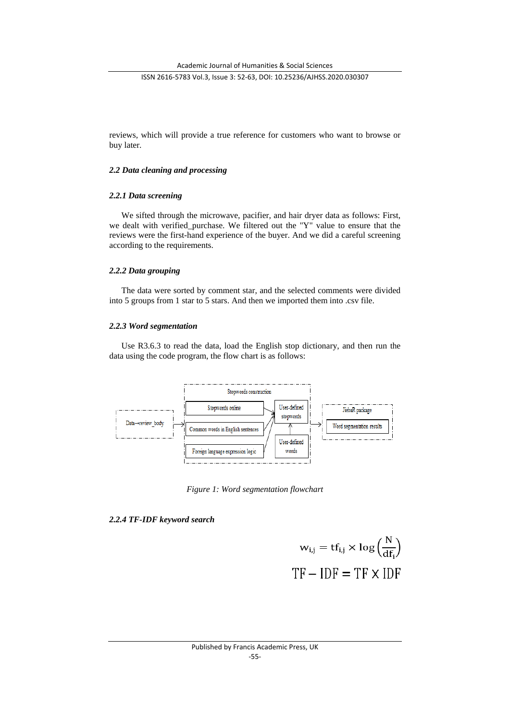reviews, which will provide a true reference for customers who want to browse or buy later.

## *2.2 Data cleaning and processing*

## *2.2.1 Data screening*

We sifted through the microwave, pacifier, and hair dryer data as follows: First, we dealt with verified purchase. We filtered out the "Y" value to ensure that the reviews were the first-hand experience of the buyer. And we did a careful screening according to the requirements.

## *2.2.2 Data grouping*

The data were sorted by comment star, and the selected comments were divided into 5 groups from 1 star to 5 stars. And then we imported them into .csv file.

## *2.2.3 Word segmentation*

Use R3.6.3 to read the data, load the English stop dictionary, and then run the data using the code program, the flow chart is as follows:



*Figure 1: Word segmentation flowchart*

## *2.2.4 TF-IDF keyword search*

$$
w_{i,j} = tf_{i,j} \times \log\left(\frac{N}{df_i}\right)
$$
  
TF - IDF = TF × IDF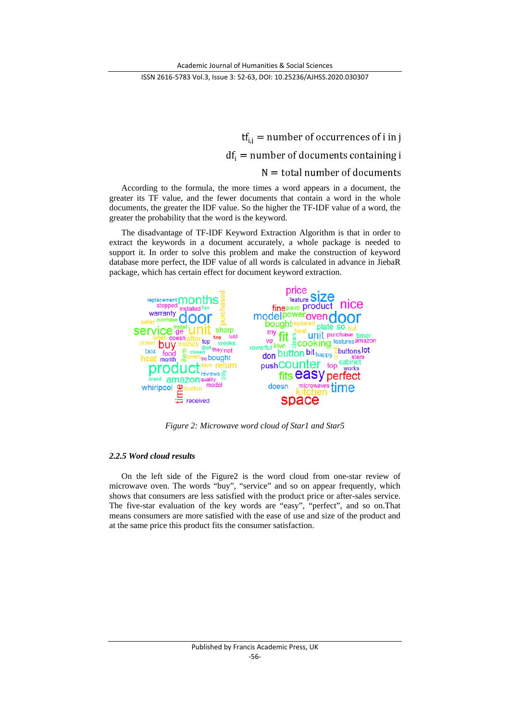$tf_{i,j}$  = number of occurrences of i in j  $df_i$  = number of documents containing i  $N =$  total number of documents

According to the formula, the more times a word appears in a document, the greater its TF value, and the fewer documents that contain a word in the whole documents, the greater the IDF value. So the higher the TF-IDF value of a word, the greater the probability that the word is the keyword.

The disadvantage of TF-IDF Keyword Extraction Algorithm is that in order to extract the keywords in a document accurately, a whole package is needed to support it. In order to solve this problem and make the construction of keyword database more perfect, the IDF value of all words is calculated in advance in JiebaR package, which has certain effect for document keyword extraction.



*Figure 2: Microwave word cloud of Star1 and Star5*

## *2.2.5 Word cloud results*

On the left side of the Figure2 is the word cloud from one-star review of microwave oven. The words "buy", "service" and so on appear frequently, which shows that consumers are less satisfied with the product price or after-sales service. The five-star evaluation of the key words are "easy", "perfect", and so on.That means consumers are more satisfied with the ease of use and size of the product and at the same price this product fits the consumer satisfaction.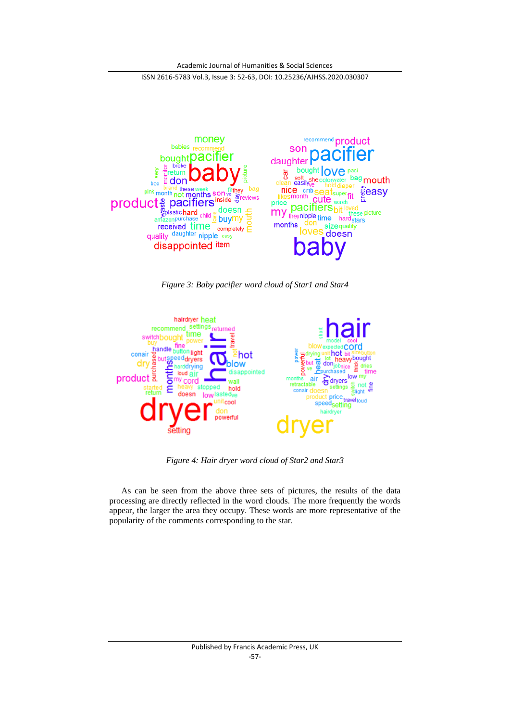

*Figure 3: Baby pacifier word cloud of Star1 and Star4*



*Figure 4: Hair dryer word cloud of Star2 and Star3*

As can be seen from the above three sets of pictures, the results of the data processing are directly reflected in the word clouds. The more frequently the words appear, the larger the area they occupy. These words are more representative of the popularity of the comments corresponding to the star.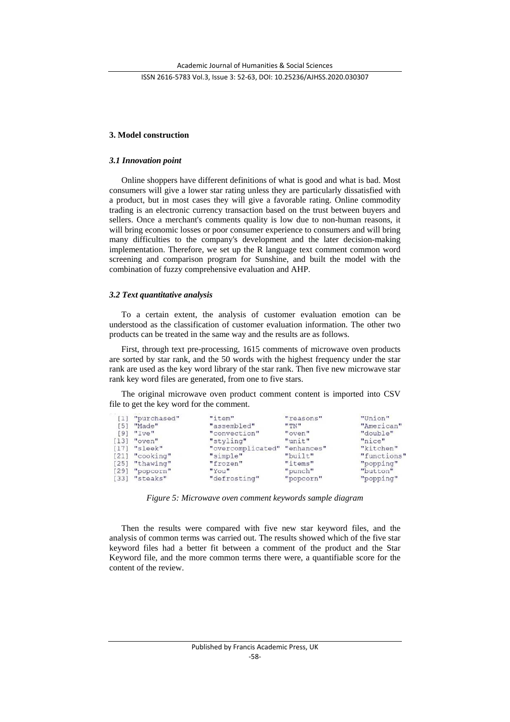## **3. Model construction**

#### *3.1 Innovation point*

Online shoppers have different definitions of what is good and what is bad. Most consumers will give a lower star rating unless they are particularly dissatisfied with a product, but in most cases they will give a favorable rating. Online commodity trading is an electronic currency transaction based on the trust between buyers and sellers. Once a merchant's comments quality is low due to non-human reasons, it will bring economic losses or poor consumer experience to consumers and will bring many difficulties to the company's development and the later decision-making implementation. Therefore, we set up the R language text comment common word screening and comparison program for Sunshine, and built the model with the combination of fuzzy comprehensive evaluation and AHP.

#### *3.2 Text quantitative analysis*

To a certain extent, the analysis of customer evaluation emotion can be understood as the classification of customer evaluation information. The other two products can be treated in the same way and the results are as follows.

First, through text pre-processing, 1615 comments of microwave oven products are sorted by star rank, and the 50 words with the highest frequency under the star rank are used as the key word library of the star rank. Then five new microwave star rank key word files are generated, from one to five stars.

The original microwave oven product comment content is imported into CSV file to get the key word for the comment.

| [1] "purchased"  | "item"            | "reasons"  | "Union"     |
|------------------|-------------------|------------|-------------|
| [5] "Made"       | "assembled"       | "TW"       | "American"  |
| $[9]$ "Ive"      | "convection"      | "oven"     | "double"    |
| $[13]$ "oven"    | "styling"         | "unit"     | "nice"      |
| $[17]$ "sleek"   | "overcomplicated" | "enhances" | "kitchen"   |
| [21] "cooking"   | "simple"          | "built"    | "functions' |
| $[25]$ "thawing" | "frozen"          | "items"    | "popping"   |
| $[29]$ "popcorn" | "You"             | "punch"    | "button"    |
| $[33]$ "steaks"  | "defrosting"      | "popcorn"  | "popping"   |
|                  |                   |            |             |

*Figure 5: Microwave oven comment keywords sample diagram*

Then the results were compared with five new star keyword files, and the analysis of common terms was carried out. The results showed which of the five star keyword files had a better fit between a comment of the product and the Star Keyword file, and the more common terms there were, a quantifiable score for the content of the review.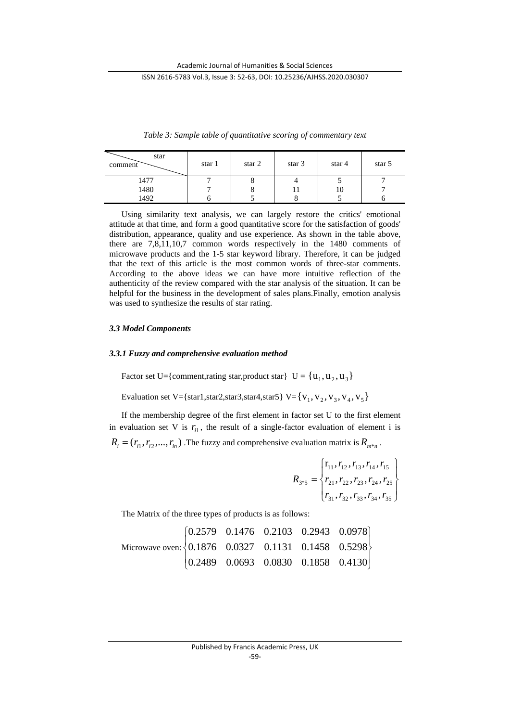| star<br>comment | star 1 | star $2$ | star 3 | star 4 | star 5 |
|-----------------|--------|----------|--------|--------|--------|
| 1477            |        |          |        |        |        |
| 1480            |        |          |        | 10     |        |
| 492             |        |          |        |        |        |

*Table 3: Sample table of quantitative scoring of commentary text*

Using similarity text analysis, we can largely restore the critics' emotional attitude at that time, and form a good quantitative score for the satisfaction of goods' distribution, appearance, quality and use experience. As shown in the table above, there are 7,8,11,10,7 common words respectively in the 1480 comments of microwave products and the 1-5 star keyword library. Therefore, it can be judged that the text of this article is the most common words of three-star comments. According to the above ideas we can have more intuitive reflection of the authenticity of the review compared with the star analysis of the situation. It can be helpful for the business in the development of sales plans.Finally, emotion analysis was used to synthesize the results of star rating.

## *3.3 Model Components*

#### *3.3.1 Fuzzy and comprehensive evaluation method*

Factor set U={comment,rating star, product star} U =  $\{u_1, u_2, u_3\}$ 

Evaluation set V={star1,star2,star3,star4,star5} V={ $v_1, v_2, v_3, v_4, v_5$ }

If the membership degree of the first element in factor set U to the first element in evaluation set V is  $r_{i1}$ , the result of a single-factor evaluation of element i is  $R_i = (r_{i1}, r_{i2}, \dots, r_{in})$ . The fuzzy and comprehensive evaluation matrix is  $R_{m*n}$ .

$$
R_{3*5} = \begin{cases} \n\mathbf{r}_{11}, r_{12}, r_{13}, r_{14}, r_{15} \\ \n\mathbf{r}_{21}, r_{22}, r_{23}, r_{24}, r_{25} \\ \n\mathbf{r}_{31}, r_{32}, r_{33}, r_{34}, r_{35} \n\end{cases}
$$

The Matrix of the three types of products is as follows:

|                                                                                          | $\begin{bmatrix} 0.2579 & 0.1476 & 0.2103 & 0.2943 & 0.0978 \end{bmatrix}$ |  |  |
|------------------------------------------------------------------------------------------|----------------------------------------------------------------------------|--|--|
| Microwave oven: $\Big\{0.1876 \quad 0.0327 \quad 0.1131 \quad 0.1458 \quad 0.5298\Big\}$ |                                                                            |  |  |
|                                                                                          | $\begin{bmatrix} 0.2489 & 0.0693 & 0.0830 & 0.1858 & 0.4130 \end{bmatrix}$ |  |  |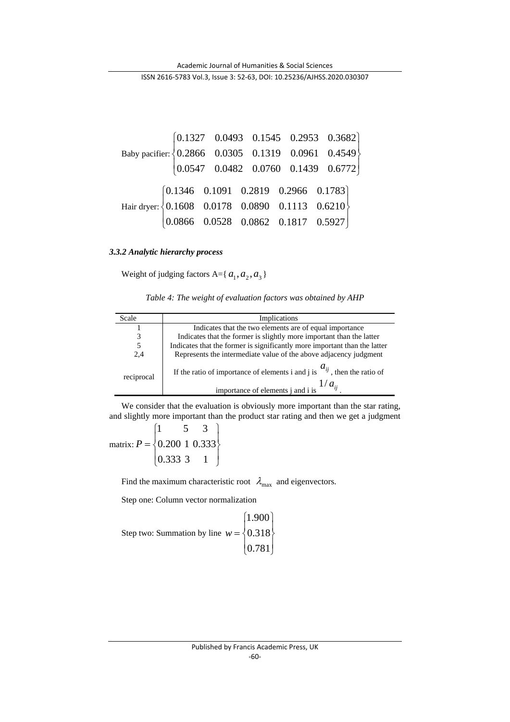Baby pacifier:  $\Big\{0.2866 \quad 0.0305 \quad 0.1319 \quad 0.0961 \quad 0.4549\Big\}$  $\begin{bmatrix} 0.0547 & 0.0482 & 0.0760 & 0.1439 & 0.6772 \end{bmatrix}$  $\left\{ \right.$  $\begin{bmatrix} 0.1327 & 0.0493 & 0.1545 & 0.2953 & 0.3682 \end{bmatrix}$  $\vert$  $\big\{\text{0.2866} \quad \text{0.0305} \quad \text{0.1319} \quad \text{0.0961} \quad \text{0.4549}$ Hair dryer:  $\int$  $\overline{\mathcal{L}}$  $\left\{ \right.$  $\vert$  $\overline{\mathcal{L}}$  $\Big\}$  $\left\{ \right.$  $\left\lceil \right\rceil$ 0.0866 0.0528 0.0862 0.1817 0.5927 0.1608 0.0178 0.0890 0.1113 0.6210 0.1346 0.1091 0.2819 0.2966 0.1783

## *3.3.2 Analytic hierarchy process*

Weight of judging factors A={ $a_1$ ,  $a_2$ ,  $a_3$ }

|  |  | Table 4: The weight of evaluation factors was obtained by AHP |  |
|--|--|---------------------------------------------------------------|--|
|  |  |                                                               |  |

| Scale      | Implications                                                                                                                      |
|------------|-----------------------------------------------------------------------------------------------------------------------------------|
|            | Indicates that the two elements are of equal importance                                                                           |
| 3          | Indicates that the former is slightly more important than the latter                                                              |
| 5          | Indicates that the former is significantly more important than the latter                                                         |
| 2,4        | Represents the intermediate value of the above adjacency judgment                                                                 |
| reciprocal | If the ratio of importance of elements i and j is $a_{ij}$ , then the ratio of<br>$1/a_{ii}$<br>importance of elements j and i is |

We consider that the evaluation is obviously more important than the star rating, and slightly more important than the product star rating and then we get a judgment

matrix:  $\int$  $\overline{ }$  $\left\{ \right.$  $\vert$  $\overline{\mathcal{L}}$  $\overline{\phantom{a}}$  $=\{$  $\left(1\right)$ 0.333 3 1  $P = \{0.200\ 1\ 0.333\}$ 1 5 3

Find the maximum characteristic root  $\lambda_{\text{max}}$  and eigenvectors.

Step one: Column vector normalization

Step two: Summation by line 
$$
w = \begin{cases} 1.900 \\ 0.318 \\ 0.781 \end{cases}
$$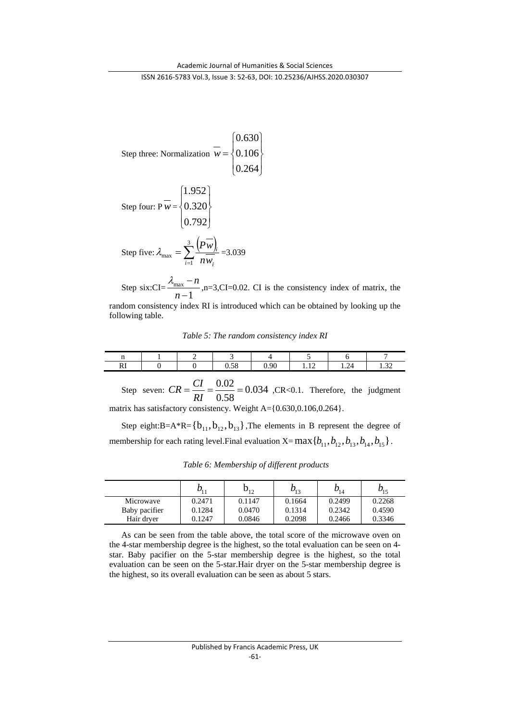$\overline{\phantom{a}}$ J

 $\overline{ }$  $\left\{ \right\}$  $\vert$ 

Step three: Normalization 
$$
\overline{w} = \begin{cases} 0.630 \\ 0.106 \\ 0.264 \end{cases}
$$
  
\nStep four:  $P\overline{w} = \begin{cases} 1.952 \\ 0.320 \\ 0.792 \end{cases}$   
\nStep five:  $\lambda_{\text{max}} = \sum_{i=1}^{3} \frac{(P\overline{w})_i}{n\overline{w_i}} = 3.039$ 

Step six: $CI = \frac{N_{\text{max}}}{n-1}$ − − *n*  $\lambda_{\text{max}} - n$ , n=3,CI=0.02. CI is the consistency index of matrix, the random consistency index RI is introduced which can be obtained by looking up the following table.

*Table 5: The random consistency index RI*

| $\cdots$            |  |                                           |           |                |            |                   |
|---------------------|--|-------------------------------------------|-----------|----------------|------------|-------------------|
| $\mathbf{r}$<br>171 |  | $\sim$<br>$\epsilon$ <sup>o</sup><br>U.JO | .90<br>◡. | $\sim$<br>1.14 | 74<br>1.47 | $\sim$<br>$\cdot$ |

Step seven:  $CR = \frac{C_1}{R_1} = \frac{0.02}{0.58} = 0.034$  $CR = \frac{CI}{RI} = \frac{0.02}{0.58} = 0.034$  , CR<0.1. Therefore, the judgment matrix has satisfactory consistency. Weight A={0.630,0.106,0.264}.

Step eight:B=A\*R={ $b_{11}$ , $b_{12}$ , $b_{13}$ },The elements in B represent the degree of membership for each rating level.Final evaluation  $X=$  max  ${b_{11}, b_{12}, b_{13}, b_{14}, b_{15}}$ .

|               | $D_{11}$ | $b_{12}$ | $b_{13}$ | $b_{14}$ | $b_{15}$ |
|---------------|----------|----------|----------|----------|----------|
| Microwave     | 0.2471   | 0.1147   | 0.1664   | 0.2499   | 0.2268   |
| Baby pacifier | 0.1284   | 0.0470   | 0.1314   | 0.2342   | 0.4590   |
| Hair drver    | 0.1247   | 0.0846   | 0.2098   | 0.2466   | 0.3346   |

*Table 6: Membership of different products*

As can be seen from the table above, the total score of the microwave oven on the 4-star membership degree is the highest, so the total evaluation can be seen on 4 star. Baby pacifier on the 5-star membership degree is the highest, so the total evaluation can be seen on the 5-star.Hair dryer on the 5-star membership degree is the highest, so its overall evaluation can be seen as about 5 stars.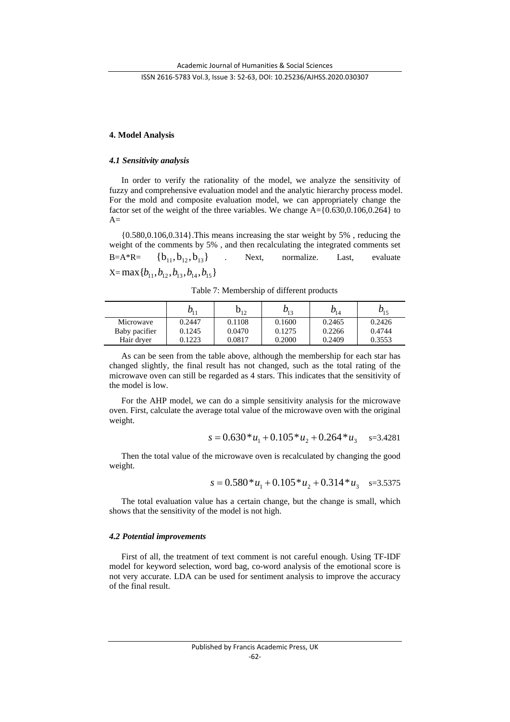## **4. Model Analysis**

#### *4.1 Sensitivity analysis*

In order to verify the rationality of the model, we analyze the sensitivity of fuzzy and comprehensive evaluation model and the analytic hierarchy process model. For the mold and composite evaluation model, we can appropriately change the factor set of the weight of the three variables. We change A={0.630,0.106,0.264} to  $A=$ 

{0.580,0.106,0.314}.This means increasing the star weight by 5% , reducing the weight of the comments by 5% , and then recalculating the integrated comments set B=A\*R=  ${b_{11}, b_{12}, b_{13}}$  . Next, normalize. Last, evaluate  $X=$ max ${b_{11}, b_{12}, b_{13}, b_{14}, b_{15}}$ 

Table 7: Membership of different products

|               | $D_{11}$ | $b_{12}$ | $b_{13}$ | $b_{14}$ | $v_{15}$ |
|---------------|----------|----------|----------|----------|----------|
| Microwave     | 0.2447   | 0.1108   | 0.1600   | 0.2465   | 0.2426   |
| Baby pacifier | 0.1245   | 0.0470   | 0.1275   | 0.2266   | 0.4744   |
| Hair dryer    | 0.1223   | 0.0817   | 0.2000   | 0.2409   | 0.3553   |

As can be seen from the table above, although the membership for each star has changed slightly, the final result has not changed, such as the total rating of the microwave oven can still be regarded as 4 stars. This indicates that the sensitivity of the model is low.

For the AHP model, we can do a simple sensitivity analysis for the microwave oven. First, calculate the average total value of the microwave oven with the original weight.

$$
s = 0.630 * u_1 + 0.105 * u_2 + 0.264 * u_3 \quad s = 3.4281
$$

Then the total value of the microwave oven is recalculated by changing the good weight.

$$
s = 0.580 * u_1 + 0.105 * u_2 + 0.314 * u_3 \quad s = 3.5375
$$

The total evaluation value has a certain change, but the change is small, which shows that the sensitivity of the model is not high.

#### *4.2 Potential improvements*

First of all, the treatment of text comment is not careful enough. Using TF-IDF model for keyword selection, word bag, co-word analysis of the emotional score is not very accurate. LDA can be used for sentiment analysis to improve the accuracy of the final result.